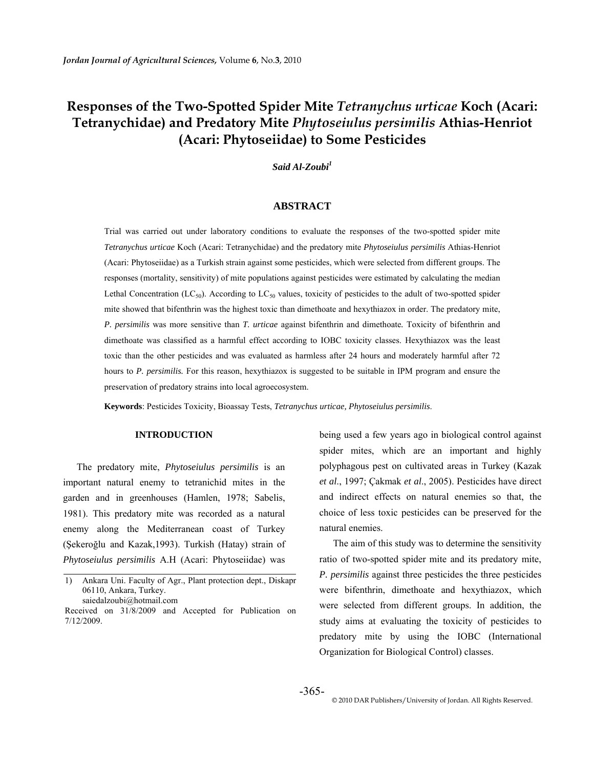# **Responses of the Two-Spotted Spider Mite** *Tetranychus urticae* **Koch (Acari: Tetranychidae) and Predatory Mite** *Phytoseiulus persimilis* **Athias-Henriot (Acari: Phytoseiidae) to Some Pesticides**

*Said Al-Zoubi1*

# **ABSTRACT**

Trial was carried out under laboratory conditions to evaluate the responses of the two-spotted spider mite *Tetranychus urticae* Koch (Acari: Tetranychidae) and the predatory mite *Phytoseiulus persimilis* Athias-Henriot (Acari: Phytoseiidae) as a Turkish strain against some pesticides, which were selected from different groups. The responses (mortality, sensitivity) of mite populations against pesticides were estimated by calculating the median Lethal Concentration (LC<sub>50</sub>). According to LC<sub>50</sub> values, toxicity of pesticides to the adult of two-spotted spider mite showed that bifenthrin was the highest toxic than dimethoate and hexythiazox in order. The predatory mite, *P. persimilis* was more sensitive than *T. urticae* against bifenthrin and dimethoate*.* Toxicity of bifenthrin and dimethoate was classified as a harmful effect according to IOBC toxicity classes. Hexythiazox was the least toxic than the other pesticides and was evaluated as harmless after 24 hours and moderately harmful after 72 hours to *P. persimilis*. For this reason, hexythiazox is suggested to be suitable in IPM program and ensure the preservation of predatory strains into local agroecosystem.

**Keywords**: Pesticides Toxicity, Bioassay Tests, *Tetranychus urticae, Phytoseiulus persimilis*.

#### **INTRODUCTION**

The predatory mite, *Phytoseiulus persimilis* is an important natural enemy to tetranichid mites in the garden and in greenhouses (Hamlen, 1978; Sabelis, 1981). This predatory mite was recorded as a natural enemy along the Mediterranean coast of Turkey (Şekeroğlu and Kazak,1993). Turkish (Hatay) strain of *Phytoseiulus persimilis* A.H (Acari: Phytoseiidae) was

being used a few years ago in biological control against spider mites, which are an important and highly polyphagous pest on cultivated areas in Turkey (Kazak *et al*., 1997; Çakmak *et al*., 2005). Pesticides have direct and indirect effects on natural enemies so that, the choice of less toxic pesticides can be preserved for the natural enemies.

The aim of this study was to determine the sensitivity ratio of two-spotted spider mite and its predatory mite, *P. persimilis* against three pesticides the three pesticides were bifenthrin, dimethoate and hexythiazox, which were selected from different groups. In addition, the study aims at evaluating the toxicity of pesticides to predatory mite by using the IOBC (International Organization for Biological Control) classes.

<sup>1)</sup> Ankara Uni. Faculty of Agr., Plant protection dept., Diskapr 06110, Ankara, Turkey. saiedalzoubi@hotmail.com

Received on 31/8/2009 and Accepted for Publication on 7/12/2009.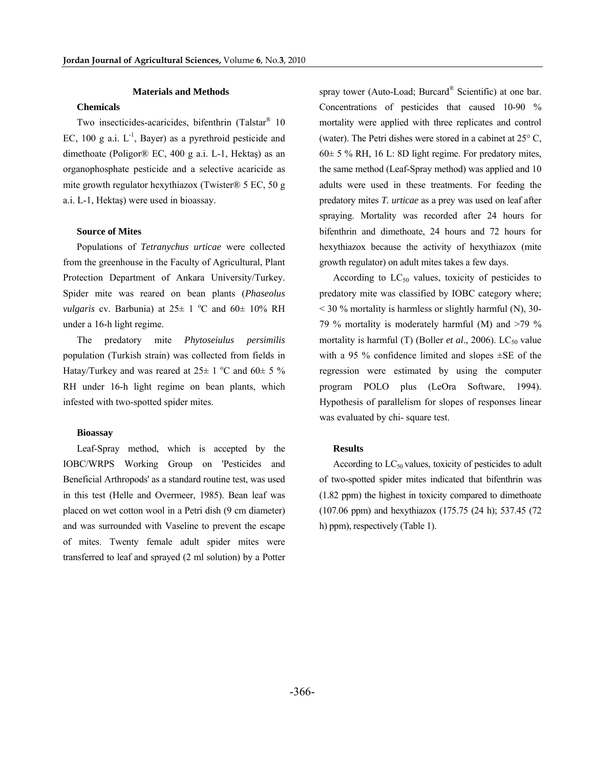#### **Materials and Methods**

# **Chemicals**

Two insecticides-acaricides, bifenthrin (Talstar® 10 EC, 100 g a.i.  $L^{-1}$ , Bayer) as a pyrethroid pesticide and dimethoate (Poligor® EC, 400 g a.i. L-1, Hektaş) as an organophosphate pesticide and a selective acaricide as mite growth regulator hexythiazox (Twister® 5 EC, 50 g a.i. L-1, Hektaş) were used in bioassay.

# **Source of Mites**

Populations of *Tetranychus urticae* were collected from the greenhouse in the Faculty of Agricultural, Plant Protection Department of Ankara University/Turkey. Spider mite was reared on bean plants (*Phaseolus vulgaris* cv. Barbunia) at  $25 \pm 1$  °C and  $60 \pm 10$ % RH under a 16-h light regime.

The predatory mite *Phytoseiulus persimilis* population (Turkish strain) was collected from fields in Hatay/Turkey and was reared at  $25 \pm 1$  °C and  $60 \pm 5$  % RH under 16-h light regime on bean plants, which infested with two-spotted spider mites.

### **Bioassay**

Leaf-Spray method, which is accepted by the IOBC/WRPS Working Group on 'Pesticides and Beneficial Arthropods' as a standard routine test, was used in this test (Helle and Overmeer, 1985). Bean leaf was placed on wet cotton wool in a Petri dish (9 cm diameter) and was surrounded with Vaseline to prevent the escape of mites. Twenty female adult spider mites were transferred to leaf and sprayed (2 ml solution) by a Potter

spray tower (Auto-Load; Burcard® Scientific) at one bar. Concentrations of pesticides that caused 10-90 % mortality were applied with three replicates and control (water). The Petri dishes were stored in a cabinet at 25° C,  $60± 5 \% RH$ , 16 L: 8D light regime. For predatory mites, the same method (Leaf-Spray method) was applied and 10 adults were used in these treatments. For feeding the predatory mites *T. urticae* as a prey was used on leaf after spraying. Mortality was recorded after 24 hours for bifenthrin and dimethoate, 24 hours and 72 hours for hexythiazox because the activity of hexythiazox (mite growth regulator) on adult mites takes a few days.

According to  $LC_{50}$  values, toxicity of pesticides to predatory mite was classified by IOBC category where;  $<$  30 % mortality is harmless or slightly harmful (N), 30-79 % mortality is moderately harmful (M) and  $>79$  % mortality is harmful (T) (Boller *et al.*, 2006). LC<sub>50</sub> value with a 95 % confidence limited and slopes ±SE of the regression were estimated by using the computer program POLO plus (LeOra Software, 1994). Hypothesis of parallelism for slopes of responses linear was evaluated by chi- square test.

### **Results**

According to  $LC_{50}$  values, toxicity of pesticides to adult of two-spotted spider mites indicated that bifenthrin was (1.82 ppm) the highest in toxicity compared to dimethoate (107.06 ppm) and hexythiazox (175.75 (24 h); 537.45 (72 h) ppm), respectively (Table 1).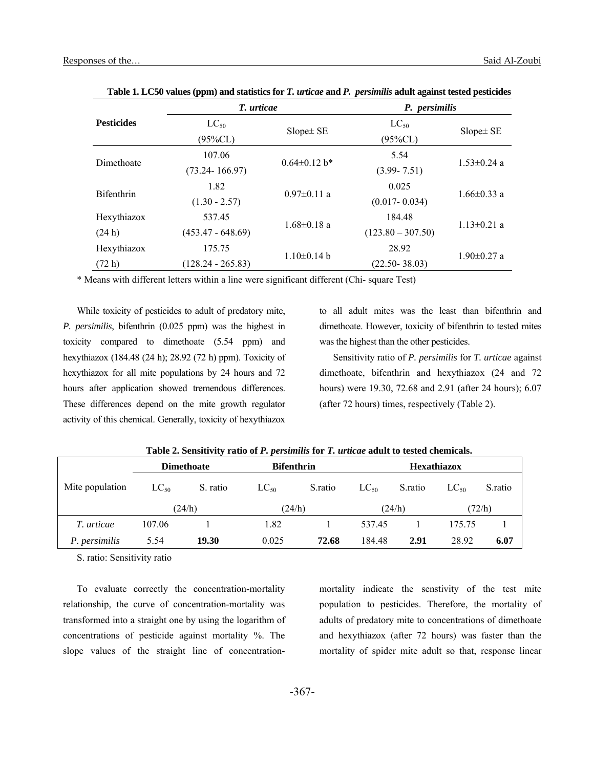|                   | T. urticae          |                    | P. persimilis       |                   |  |
|-------------------|---------------------|--------------------|---------------------|-------------------|--|
| <b>Pesticides</b> | $LC_{50}$           | $Slope \pm SE$     | $LC_{50}$           | $Slope \pm SE$    |  |
|                   | $(95\%CL)$          |                    | $(95\%CL)$          |                   |  |
| Dimethoate        | 107.06              |                    | 5.54                | $1.53 \pm 0.24$ a |  |
|                   | $(73.24 - 166.97)$  | $0.64 \pm 0.12$ b* | $(3.99 - 7.51)$     |                   |  |
| <b>Bifenthrin</b> | 1.82                | $0.97 \pm 0.11$ a  | 0.025               | $1.66 \pm 0.33$ a |  |
|                   | $(1.30 - 2.57)$     |                    | $(0.017 - 0.034)$   |                   |  |
| Hexythiazox       | 537.45              |                    | 184.48              | $1.13 \pm 0.21$ a |  |
| (24 h)            | $(453.47 - 648.69)$ | $1.68 \pm 0.18$ a  | $(123.80 - 307.50)$ |                   |  |
| Hexythiazox       | 175.75              |                    | 28.92               | $1.90 \pm 0.27$ a |  |
| (72 h)            | $(128.24 - 265.83)$ | $1.10 \pm 0.14$ b  | $(22.50 - 38.03)$   |                   |  |

**Table 1. LC50 values (ppm) and statistics for** *T. urticae* **and** *P. persimilis* **adult against tested pesticides** 

\* Means with different letters within a line were significant different (Chi- square Test)

While toxicity of pesticides to adult of predatory mite, *P. persimilis*, bifenthrin (0.025 ppm) was the highest in toxicity compared to dimethoate (5.54 ppm) and hexythiazox (184.48 (24 h); 28.92 (72 h) ppm). Toxicity of hexythiazox for all mite populations by 24 hours and 72 hours after application showed tremendous differences. These differences depend on the mite growth regulator activity of this chemical. Generally, toxicity of hexythiazox

to all adult mites was the least than bifenthrin and dimethoate. However, toxicity of bifenthrin to tested mites was the highest than the other pesticides.

Sensitivity ratio of *P. persimilis* for *T. urticae* against dimethoate, bifenthrin and hexythiazox (24 and 72 hours) were 19.30, 72.68 and 2.91 (after 24 hours); 6.07 (after 72 hours) times, respectively (Table 2).

|                 | <b>Dimethoate</b> |          | <b>Bifenthrin</b> |         | <b>Hexathiazox</b> |         |           |         |
|-----------------|-------------------|----------|-------------------|---------|--------------------|---------|-----------|---------|
| Mite population | $LC_{50}$         | S. ratio | $LC_{50}$         | S.ratio | $LC_{50}$          | S.ratio | $LC_{50}$ | S.ratio |
|                 |                   | (24/h)   | (24/h)            |         |                    | (24/h)  |           | (72/h)  |
| T. urticae      | 107.06            |          | 1.82              |         | 537.45             |         | 175.75    |         |
| P. persimilis   | 5.54              | 19.30    | 0.025             | 72.68   | 184.48             | 2.91    | 28.92     | 6.07    |

**Table 2. Sensitivity ratio of** *P. persimilis* **for** *T. urticae* **adult to tested chemicals.** 

S. ratio: Sensitivity ratio

To evaluate correctly the concentration-mortality relationship, the curve of concentration-mortality was transformed into a straight one by using the logarithm of concentrations of pesticide against mortality %. The slope values of the straight line of concentrationmortality indicate the senstivity of the test mite population to pesticides. Therefore, the mortality of adults of predatory mite to concentrations of dimethoate and hexythiazox (after 72 hours) was faster than the mortality of spider mite adult so that, response linear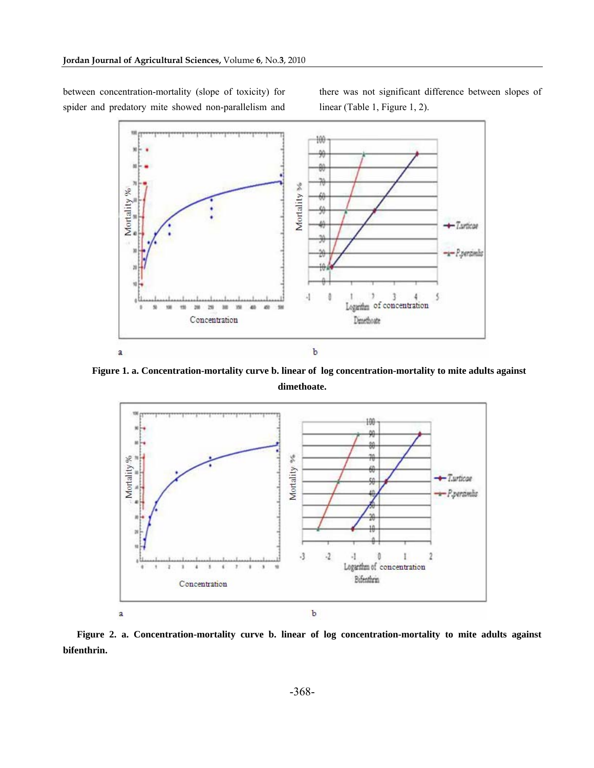between concentration-mortality (slope of toxicity) for spider and predatory mite showed non-parallelism and there was not significant difference between slopes of linear (Table 1, Figure 1, 2).



**Figure 1. a. Concentration-mortality curve b. linear of log concentration-mortality to mite adults against dimethoate.**



**Figure 2. a. Concentration-mortality curve b. linear of log concentration-mortality to mite adults against bifenthrin.**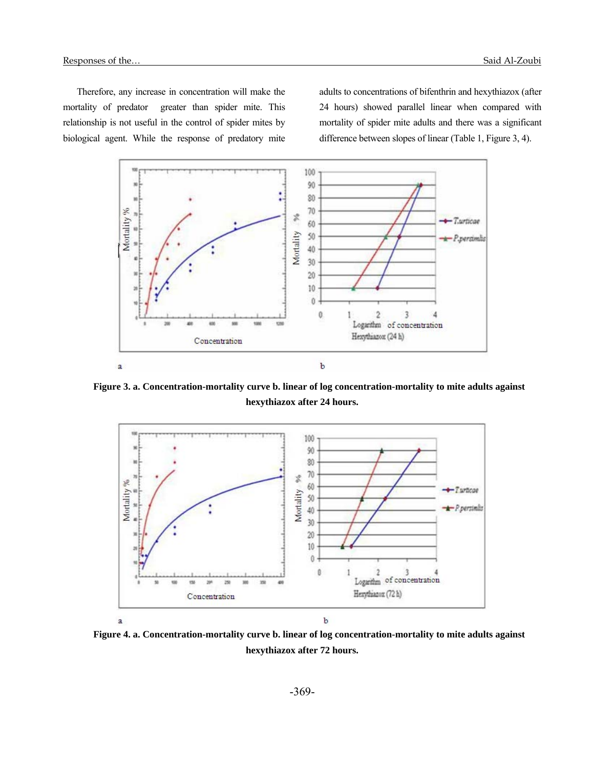Therefore, any increase in concentration will make the mortality of predator greater than spider mite. This relationship is not useful in the control of spider mites by biological agent. While the response of predatory mite adults to concentrations of bifenthrin and hexythiazox (after 24 hours) showed parallel linear when compared with mortality of spider mite adults and there was a significant difference between slopes of linear (Table 1, Figure 3, 4).



**Figure 3. a. Concentration-mortality curve b. linear of log concentration-mortality to mite adults against hexythiazox after 24 hours.** 



**Figure 4. a. Concentration-mortality curve b. linear of log concentration-mortality to mite adults against hexythiazox after 72 hours.**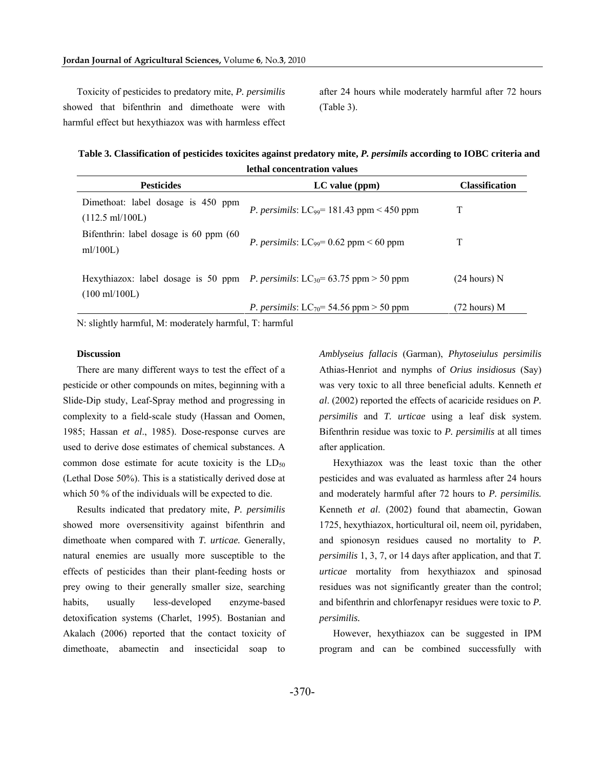Toxicity of pesticides to predatory mite, *P. persimilis* showed that bifenthrin and dimethoate were with harmful effect but hexythiazox was with harmless effect after 24 hours while moderately harmful after 72 hours (Table 3).

**Table 3. Classification of pesticides toxicites against predatory mite,** *P. persimils* **according to IOBC criteria and lethal concentration values** 

| <b>Pesticides</b>                                               | $LC$ value ( $ppm$ )                                                                            | <b>Classification</b> |  |  |  |  |
|-----------------------------------------------------------------|-------------------------------------------------------------------------------------------------|-----------------------|--|--|--|--|
| Dimethoat: label dosage is 450 ppm<br>$(112.5 \text{ ml}/100L)$ | <i>P. persimils:</i> LC <sub>99</sub> = 181.43 ppm < 450 ppm                                    |                       |  |  |  |  |
| Bifenthrin: label dosage is 60 ppm (60)<br>ml/100L)             | <i>P. persimils:</i> $LC_{99} = 0.62$ ppm < 60 ppm                                              |                       |  |  |  |  |
| $(100 \text{ ml}/100L)$                                         | Hexythiazox: label dosage is 50 ppm <i>P. persimils</i> : LC <sub>30</sub> = 63.75 ppm > 50 ppm | $(24 hours)$ N        |  |  |  |  |
|                                                                 | <i>P. persimils:</i> LC <sub>70</sub> = 54.56 ppm > 50 ppm                                      | (72 hours) M          |  |  |  |  |

N: slightly harmful, M: moderately harmful, T: harmful

# **Discussion**

There are many different ways to test the effect of a pesticide or other compounds on mites, beginning with a Slide-Dip study, Leaf-Spray method and progressing in complexity to a field-scale study (Hassan and Oomen, 1985; Hassan *et al*., 1985). Dose-response curves are used to derive dose estimates of chemical substances. A common dose estimate for acute toxicity is the  $LD_{50}$ (Lethal Dose 50%). This is a statistically derived dose at which 50 % of the individuals will be expected to die.

Results indicated that predatory mite, *P. persimilis* showed more oversensitivity against bifenthrin and dimethoate when compared with *T. urticae.* Generally, natural enemies are usually more susceptible to the effects of pesticides than their plant-feeding hosts or prey owing to their generally smaller size, searching habits, usually less-developed enzyme-based detoxification systems (Charlet, 1995). Bostanian and Akalach (2006) reported that the contact toxicity of dimethoate, abamectin and insecticidal soap to

*Amblyseius fallacis* (Garman), *Phytoseiulus persimilis* Athias-Henriot and nymphs of *Orius insidiosus* (Say) was very toxic to all three beneficial adults. Kenneth *et al*. (2002) reported the effects of acaricide residues on *P. persimilis* and *T. urticae* using a leaf disk system. Bifenthrin residue was toxic to *P. persimilis* at all times after application.

Hexythiazox was the least toxic than the other pesticides and was evaluated as harmless after 24 hours and moderately harmful after 72 hours to *P. persimilis.*  Kenneth *et al*. (2002) found that abamectin, Gowan 1725, hexythiazox, horticultural oil, neem oil, pyridaben, and spionosyn residues caused no mortality to *P. persimilis* 1, 3, 7, or 14 days after application, and that *T. urticae* mortality from hexythiazox and spinosad residues was not significantly greater than the control; and bifenthrin and chlorfenapyr residues were toxic to *P. persimilis.*

However, hexythiazox can be suggested in IPM program and can be combined successfully with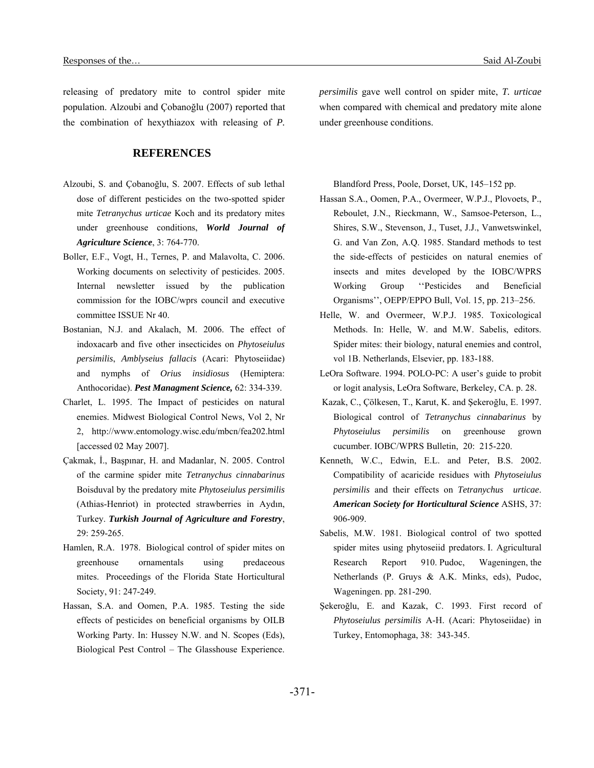releasing of predatory mite to control spider mite population. Alzoubi and Çobanoğlu (2007) reported that the combination of hexythiazox with releasing of *P.* 

# **REFERENCES**

- Alzoubi, S. and Çobanoğlu, S. 2007. Effects of sub lethal dose of different pesticides on the two-spotted spider mite *Tetranychus urticae* Koch and its predatory mites under greenhouse conditions, *World Journal of Agriculture Science*, 3: 764-770.
- Boller, E.F., Vogt, H., Ternes, P. and Malavolta, C. 2006. Working documents on selectivity of pesticides. 2005. Internal newsletter issued by the publication commission for the IOBC/wprs council and executive committee ISSUE Nr 40.
- Bostanian, N.J. and Akalach, M. 2006. The effect of indoxacarb and five other insecticides on *Phytoseiulus persimilis*, *Amblyseius fallacis* (Acari: Phytoseiidae) and nymphs of *Orius insidiosus* (Hemiptera: Anthocoridae). *Pest Managment Science,* 62: 334-339.
- Charlet, L. 1995. The Impact of pesticides on natural enemies. Midwest Biological Control News, Vol 2, Nr 2, http://www.entomology.wisc.edu/mbcn/fea202.html [accessed 02 May 2007].
- Çakmak, İ., Başpınar, H. and Madanlar, N. 2005. Control of the carmine spider mite *Tetranychus cinnabarinus* Boisduval by the predatory mite *Phytoseiulus persimilis* (Athias-Henriot) in protected strawberries in Aydın, Turkey. *Turkish Journal of Agriculture and Forestry*, 29: 259-265.
- Hamlen, R.A. 1978. Biological control of spider mites on greenhouse ornamentals using predaceous mites. Proceedings of the Florida State Horticultural Society, 91: 247-249.
- Hassan, S.A. and Oomen, P.A. 1985. Testing the side effects of pesticides on beneficial organisms by OILB Working Party. In: Hussey N.W. and N. Scopes (Eds), Biological Pest Control – The Glasshouse Experience.

*persimilis* gave well control on spider mite, *T. urticae* when compared with chemical and predatory mite alone under greenhouse conditions.

Blandford Press, Poole, Dorset, UK, 145–152 pp.

- Hassan S.A., Oomen, P.A., Overmeer, W.P.J., Plovoets, P., Reboulet, J.N., Rieckmann, W., Samsoe-Peterson, L., Shires, S.W., Stevenson, J., Tuset, J.J., Vanwetswinkel, G. and Van Zon, A.Q. 1985. Standard methods to test the side-effects of pesticides on natural enemies of insects and mites developed by the IOBC/WPRS Working Group ''Pesticides and Beneficial Organisms'', OEPP/EPPO Bull, Vol. 15, pp. 213–256.
- Helle, W. and Overmeer, W.P.J. 1985. Toxicological Methods. In: Helle, W. and M.W. Sabelis, editors. Spider mites: their biology, natural enemies and control, vol 1B. Netherlands, Elsevier, pp. 183-188.
- LeOra Software. 1994. POLO-PC: A user's guide to probit or logit analysis, LeOra Software, Berkeley, CA. p. 28.
- Kazak, C., Çölkesen, T., Karut, K. and Şekeroğlu, E. 1997. Biological control of *Tetranychus cinnabarinus* by *Phytoseiulus persimilis* on greenhouse grown cucumber. IOBC/WPRS Bulletin, 20: 215-220.
- Kenneth, W.C., Edwin, E.L. and Peter, B.S. 2002. Compatibility of acaricide residues with *Phytoseiulus persimilis* and their effects on *Tetranychus urticae*. *American Society for Horticultural Science* ASHS, 37: 906-909.
- Sabelis, M.W. 1981. Biological control of two spotted spider mites using phytoseiid predators. I. Agricultural Research Report 910. Pudoc, Wageningen, the Netherlands (P. Gruys & A.K. Minks, eds), Pudoc, Wageningen. pp. 281-290.
- Şekeroğlu, E. and Kazak, C. 1993. First record of *Phytoseiulus persimilis* A-H. (Acari: Phytoseiidae) in Turkey, Entomophaga, 38: 343-345.